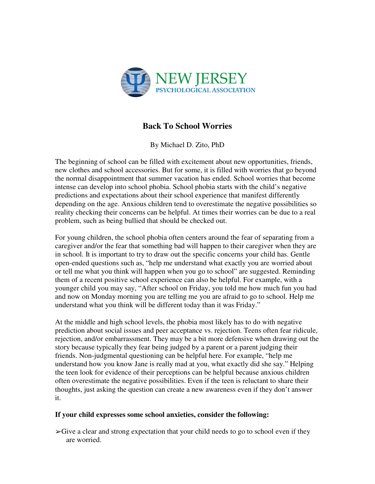

## **Back To School Worries**

By Michael D. Zito, PhD

The beginning of school can be filled with excitement about new opportunities, friends, new clothes and school accessories. But for some, it is filled with worries that go beyond the normal disappointment that summer vacation has ended. School worries that become intense can develop into school phobia. School phobia starts with the child's negative predictions and expectations about their school experience that manifest differently depending on the age. Anxious children tend to overestimate the negative possibilities so reality checking their concerns can be helpful. At times their worries can be due to a real problem, such as being bullied that should be checked out.

For young children, the school phobia often centers around the fear of separating from a caregiver and/or the fear that something bad will happen to their caregiver when they are in school. It is important to try to draw out the specific concerns your child has. Gentle open-ended questions such as, "help me understand what exactly you are worried about or tell me what you think will happen when you go to school" are suggested. Reminding them of a recent positive school experience can also be helpful. For example, with a younger child you may say, "After school on Friday, you told me how much fun you had and now on Monday morning you are telling me you are afraid to go to school. Help me understand what you think will be different today than it was Friday."

At the middle and high school levels, the phobia most likely has to do with negative prediction about social issues and peer acceptance vs. rejection. Teens often fear ridicule, rejection, and/or embarrassment. They may be a bit more defensive when drawing out the story because typically they fear being judged by a parent or a parent judging their friends. Non-judgmental questioning can be helpful here. For example, "help me understand how you know Jane is really mad at you, what exactly did she say." Helping the teen look for evidence of their perceptions can be helpful because anxious children often overestimate the negative possibilities. Even if the teen is reluctant to share their thoughts, just asking the question can create a new awareness even if they don't answer it.

## **If your child expresses some school anxieties, consider the following:**

 $\triangleright$  Give a clear and strong expectation that your child needs to go to school even if they are worried.